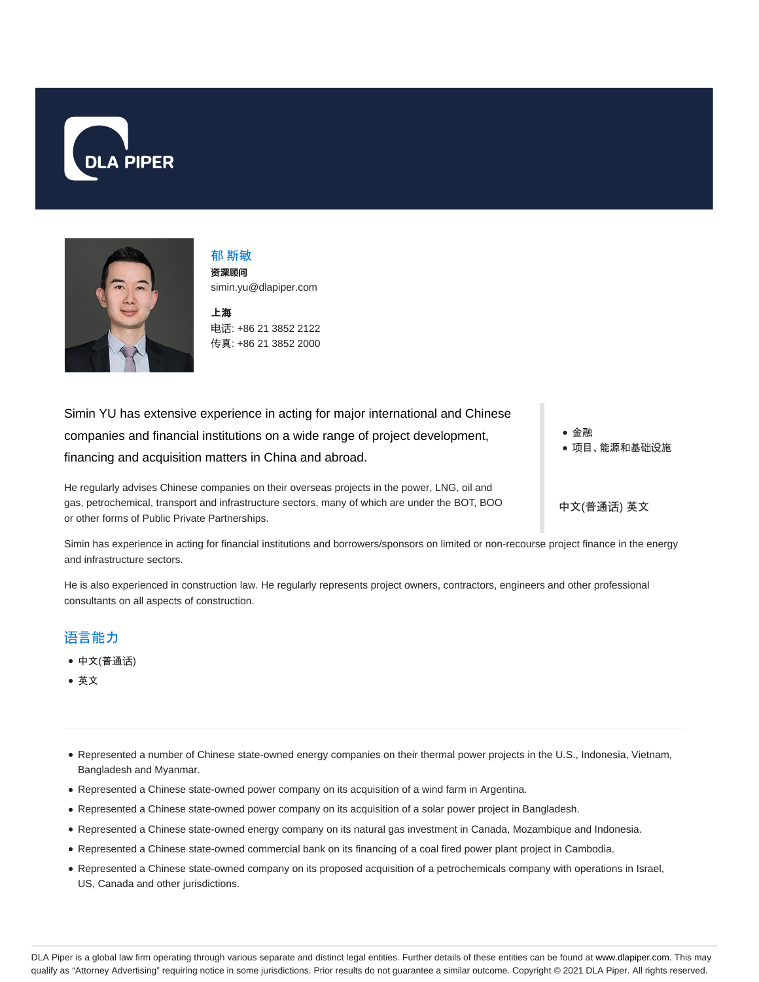



郁 斯敏 **资**深**顾问** simin.yu@dlapiper.com

上海 电话: +86 21 3852 2122 传真: +86 21 3852 2000

Simin YU has extensive experience in acting for major international and Chinese companies and financial institutions on a wide range of project development, financing and acquisition matters in China and abroad.

He regularly advises Chinese companies on their overseas projects in the power, LNG, oil and gas, petrochemical, transport and infrastructure sectors, many of which are under the BOT, BOO or other forms of Public Private Partnerships.

金融 项目、能源和基础设施

中文(普通话) 英文

Simin has experience in acting for financial institutions and borrowers/sponsors on limited or non-recourse project finance in the energy and infrastructure sectors.

He is also experienced in construction law. He regularly represents project owners, contractors, engineers and other professional consultants on all aspects of construction.

## 语言能力

- 中文(普通话)
- 英文
- Represented a number of Chinese state-owned energy companies on their thermal power projects in the U.S., Indonesia, Vietnam, Bangladesh and Myanmar.
- Represented a Chinese state-owned power company on its acquisition of a wind farm in Argentina.
- Represented a Chinese state-owned power company on its acquisition of a solar power project in Bangladesh.
- Represented a Chinese state-owned energy company on its natural gas investment in Canada, Mozambique and Indonesia.
- Represented a Chinese state-owned commercial bank on its financing of a coal fired power plant project in Cambodia.
- Represented a Chinese state-owned company on its proposed acquisition of a petrochemicals company with operations in Israel, US, Canada and other jurisdictions.

DLA Piper is a global law firm operating through various separate and distinct legal entities. Further details of these entities can be found at www.dlapiper.com. This may qualify as "Attorney Advertising" requiring notice in some jurisdictions. Prior results do not guarantee a similar outcome. Copyright © 2021 DLA Piper. All rights reserved.